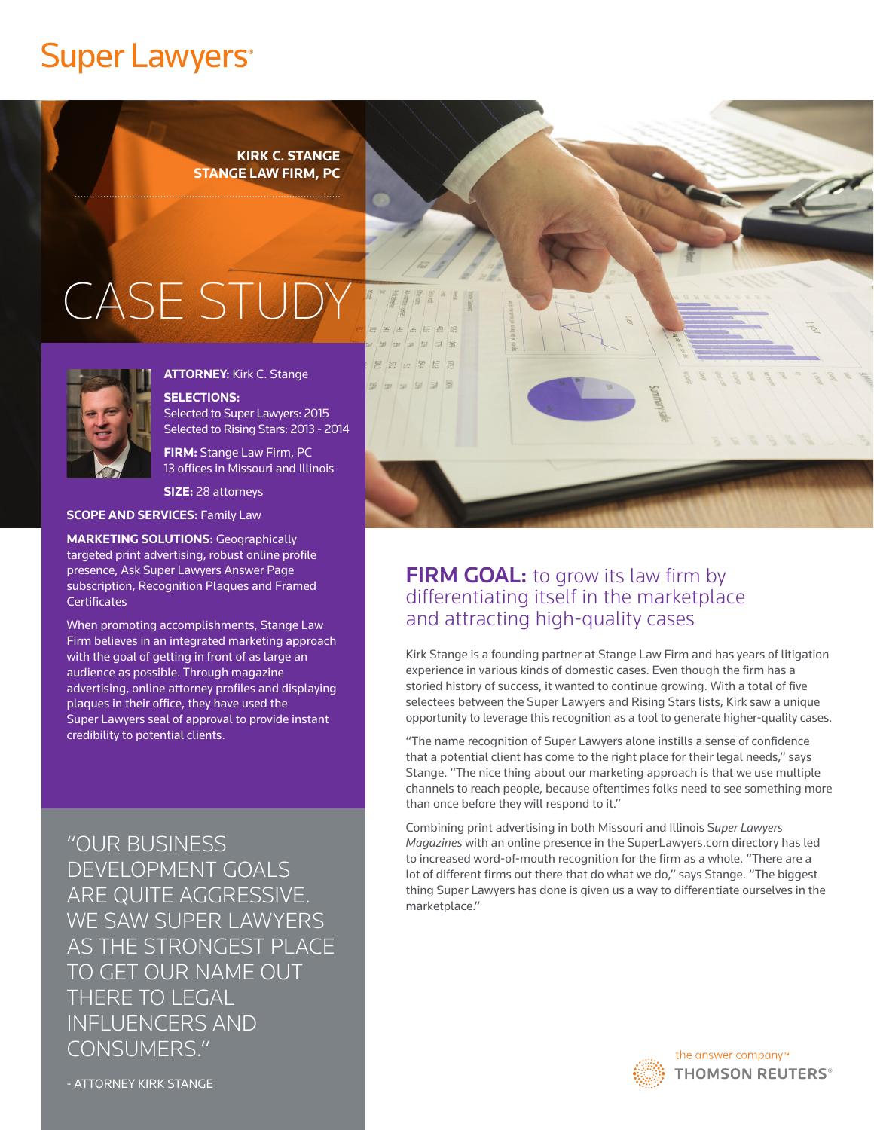## **Super Lawyers**<sup>®</sup>

**KIRK C. STANGE STANGE LAW FIRM, PC**

# CASE STUI



**ATTORNEY:** Kirk C. Stange

**SELECTIONS:** Selected to Super Lawyers: 2015 Selected to Rising Stars: 2013 - 2014

**FIRM:** Stange Law Firm, PC 13 offices in Missouri and Illinois

**SIZE:** 28 attorneys

**SCOPE AND SERVICES:** Family Law

**MARKETING SOLUTIONS:** Geographically targeted print advertising, robust online profile presence, Ask Super Lawyers Answer Page subscription, Recognition Plaques and Framed **Certificates** 

When promoting accomplishments, Stange Law Firm believes in an integrated marketing approach with the goal of getting in front of as large an audience as possible. Through magazine advertising, online attorney profiles and displaying plaques in their office, they have used the Super Lawyers seal of approval to provide instant credibility to potential clients.

"OUR BUSINESS DEVELOPMENT GOALS ARE QUITE AGGRESSIVE. WE SAW SUPER LAWYERS AS THE STRONGEST PLACE TO GET OUR NAME OUT THERE TO LEGAL INFLUENCERS AND CONSUMERS."



#### **FIRM GOAL:** to grow its law firm by differentiating itself in the marketplace and attracting high-quality cases

Kirk Stange is a founding partner at Stange Law Firm and has years of litigation experience in various kinds of domestic cases. Even though the firm has a storied history of success, it wanted to continue growing. With a total of five selectees between the Super Lawyers and Rising Stars lists, Kirk saw a unique opportunity to leverage this recognition as a tool to generate higher-quality cases.

"The name recognition of Super Lawyers alone instills a sense of confidence that a potential client has come to the right place for their legal needs," says Stange. "The nice thing about our marketing approach is that we use multiple channels to reach people, because oftentimes folks need to see something more than once before they will respond to it."

Combining print advertising in both Missouri and Illinois S*uper Lawyers Magazines* with an online presence in the SuperLawyers.com directory has led to increased word-of-mouth recognition for the firm as a whole. "There are a lot of different firms out there that do what we do," says Stange. "The biggest thing Super Lawyers has done is given us a way to differentiate ourselves in the marketplace."



- ATTORNEY KIRK STANGE